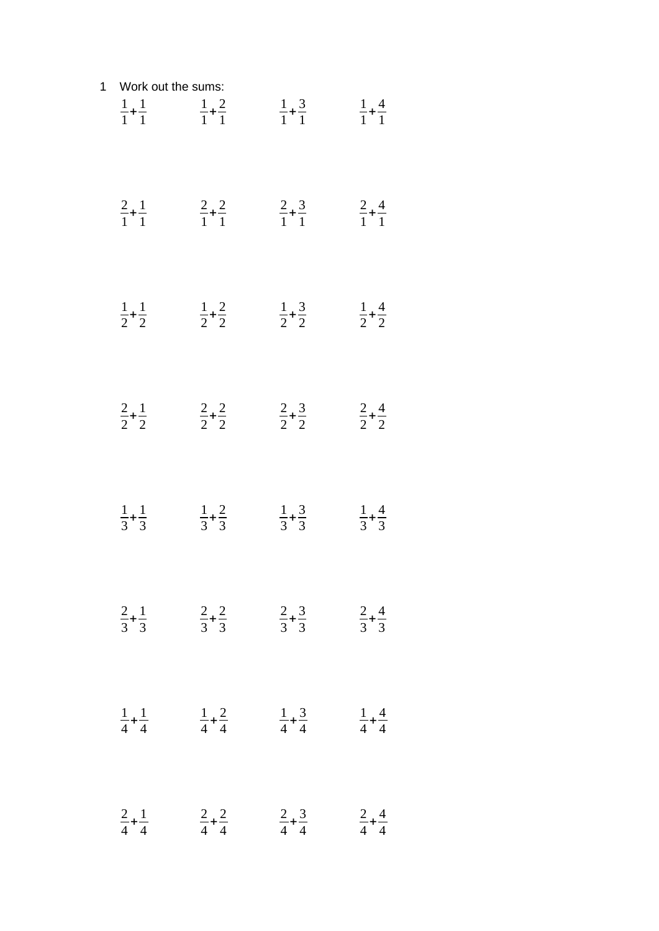| $\mathbf 1$ | Work out the sums:          |                             |                             |                             |  |
|-------------|-----------------------------|-----------------------------|-----------------------------|-----------------------------|--|
|             | $\frac{1}{1} + \frac{1}{1}$ | $\frac{1}{1} + \frac{2}{1}$ | $\frac{1}{1} + \frac{3}{1}$ | $\frac{1}{1} + \frac{4}{1}$ |  |
|             | $\frac{2}{1} + \frac{1}{1}$ | $\frac{2}{1} + \frac{2}{1}$ | $rac{2}{1} + \frac{3}{1}$   | $rac{2}{1} + \frac{4}{1}$   |  |
|             | $\frac{1}{2} + \frac{1}{2}$ | $\frac{1}{2} + \frac{2}{2}$ | $\frac{1}{2} + \frac{3}{2}$ | $\frac{1}{2} + \frac{4}{2}$ |  |
|             | $rac{2}{2} + \frac{1}{2}$   | $\frac{2}{2} + \frac{2}{2}$ | $rac{2}{2} + \frac{3}{2}$   | $rac{2}{2} + \frac{4}{2}$   |  |
|             | $\frac{1}{3} + \frac{1}{3}$ | $rac{1}{3} + \frac{2}{3}$   | $\frac{1}{3} + \frac{3}{3}$ | $rac{1}{3} + \frac{4}{3}$   |  |
|             | $rac{2}{3} + \frac{1}{3}$   | $rac{2}{3} + \frac{2}{3}$   | $rac{2}{3} + \frac{3}{3}$   | $rac{2}{3} + \frac{4}{3}$   |  |
|             | $\frac{1}{4} + \frac{1}{4}$ | $\frac{1}{4} + \frac{2}{4}$ | $\frac{1}{4} + \frac{3}{4}$ | $\frac{1}{4} + \frac{4}{4}$ |  |
|             | $rac{2}{4} + \frac{1}{4}$   | $rac{2}{4} + \frac{2}{4}$   | $\frac{2}{4} + \frac{3}{4}$ | $rac{2}{4} + \frac{4}{4}$   |  |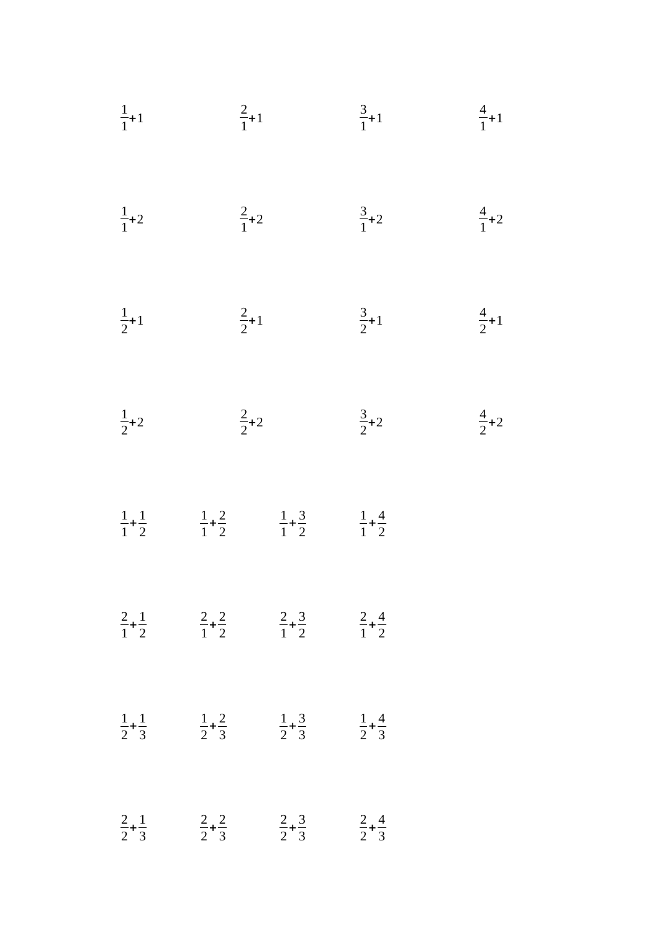| $\frac{1}{1}$ +1            | $\frac{2}{1}+1$                                                                                                 | $\frac{3}{1}+1$             | $\frac{4}{1}$ +1 |
|-----------------------------|-----------------------------------------------------------------------------------------------------------------|-----------------------------|------------------|
| $\frac{1}{1}$ +2            | $rac{2}{1}+2$                                                                                                   | $\frac{3}{1}$ +2            | $\frac{4}{1}$ +2 |
| $\frac{1}{2}+1$             | $\frac{2}{2}+1$                                                                                                 | $\frac{3}{2}+1$             | $\frac{4}{2}$ +1 |
| $\frac{1}{2}$ +2            | $rac{2}{2}+2$                                                                                                   | $\frac{3}{2}+2$             | $\frac{4}{2}$ +2 |
| $\frac{1}{1} + \frac{1}{2}$ | $\frac{1}{1} + \frac{2}{2}$<br>$\frac{1}{1} + \frac{3}{2}$                                                      | $\frac{1}{1} + \frac{4}{2}$ |                  |
|                             | $\frac{2}{1} + \frac{1}{2}$ $\frac{2}{1} + \frac{2}{2}$ $\frac{2}{1} + \frac{3}{2}$ $\frac{2}{1} + \frac{4}{2}$ |                             |                  |
|                             | $\frac{1}{2} + \frac{1}{3}$ $\frac{1}{2} + \frac{2}{3}$ $\frac{1}{2} + \frac{3}{3}$ $\frac{1}{2} + \frac{4}{3}$ |                             |                  |
|                             | $\frac{2}{2} + \frac{1}{3}$ $\frac{2}{2} + \frac{2}{3}$ $\frac{2}{2} + \frac{3}{3}$ $\frac{2}{2} + \frac{4}{3}$ |                             |                  |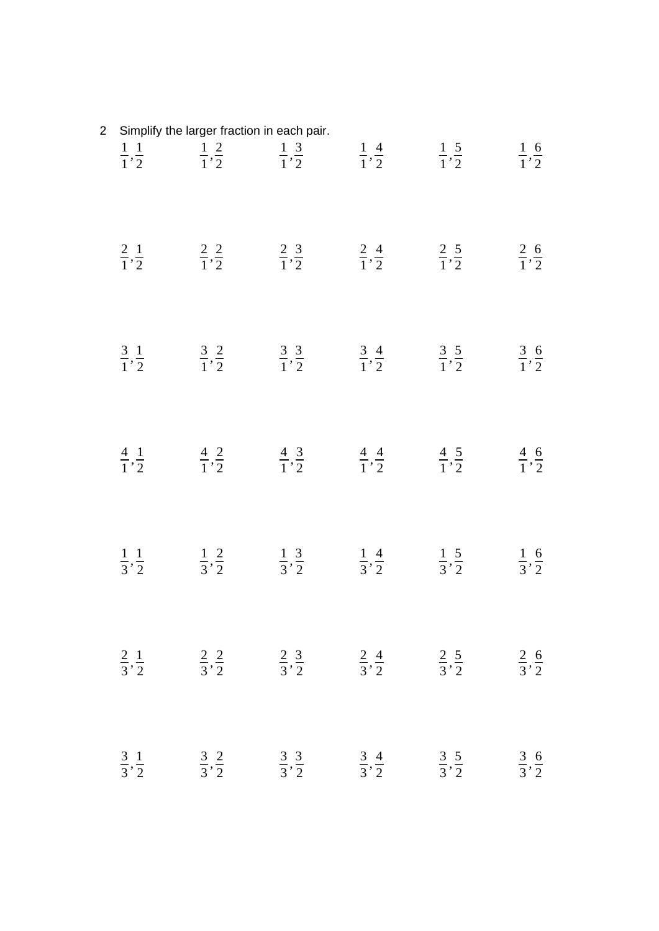| $\overline{2}$ | Simplify the larger fraction in each pair. |                            |                            |                            |                                                                                                                                                                   |                            |
|----------------|--------------------------------------------|----------------------------|----------------------------|----------------------------|-------------------------------------------------------------------------------------------------------------------------------------------------------------------|----------------------------|
|                |                                            |                            |                            |                            | $\frac{1}{1}, \frac{1}{2}$ $\frac{1}{1}, \frac{2}{2}$ $\frac{1}{1}, \frac{3}{2}$ $\frac{1}{1}, \frac{4}{2}$ $\frac{1}{1}, \frac{5}{2}$ $\frac{1}{1}, \frac{6}{2}$ |                            |
|                |                                            |                            |                            |                            | $\frac{2}{1}, \frac{1}{2}$ $\frac{2}{1}, \frac{2}{2}$ $\frac{2}{1}, \frac{3}{2}$ $\frac{2}{1}, \frac{4}{2}$ $\frac{2}{1}, \frac{5}{2}$ $\frac{2}{1}, \frac{6}{2}$ |                            |
|                |                                            |                            |                            |                            | $\frac{3}{1}, \frac{1}{2}$ $\frac{3}{1}, \frac{2}{2}$ $\frac{3}{1}, \frac{3}{2}$ $\frac{3}{1}, \frac{4}{2}$ $\frac{3}{1}, \frac{5}{2}$ $\frac{3}{1}, \frac{6}{2}$ |                            |
|                |                                            |                            |                            |                            | $\frac{4}{1}, \frac{1}{2}$ $\frac{4}{1}, \frac{2}{2}$ $\frac{4}{1}, \frac{3}{2}$ $\frac{4}{1}, \frac{4}{2}$ $\frac{4}{1}, \frac{5}{2}$ $\frac{4}{1}, \frac{6}{2}$ |                            |
|                |                                            |                            |                            |                            | $\frac{1}{3}, \frac{1}{2}$ $\frac{1}{3}, \frac{2}{2}$ $\frac{1}{3}, \frac{3}{2}$ $\frac{1}{3}, \frac{4}{2}$ $\frac{1}{3}, \frac{5}{2}$ $\frac{1}{3}, \frac{6}{2}$ |                            |
|                | $\frac{2}{3}, \frac{1}{2}$                 | $\frac{2}{3}, \frac{2}{2}$ | $\frac{2}{3}, \frac{3}{2}$ | $\frac{2}{3}, \frac{4}{2}$ | $\frac{2}{3}, \frac{5}{2}$                                                                                                                                        | $\frac{2}{3}, \frac{6}{2}$ |
|                | $\frac{3}{3}, \frac{1}{2}$                 | $\frac{3}{3}, \frac{2}{2}$ | $\frac{3}{3}, \frac{3}{2}$ | $\frac{3}{3}, \frac{4}{2}$ | $\frac{3}{3}, \frac{5}{2}$                                                                                                                                        | $\frac{3}{3}, \frac{6}{2}$ |